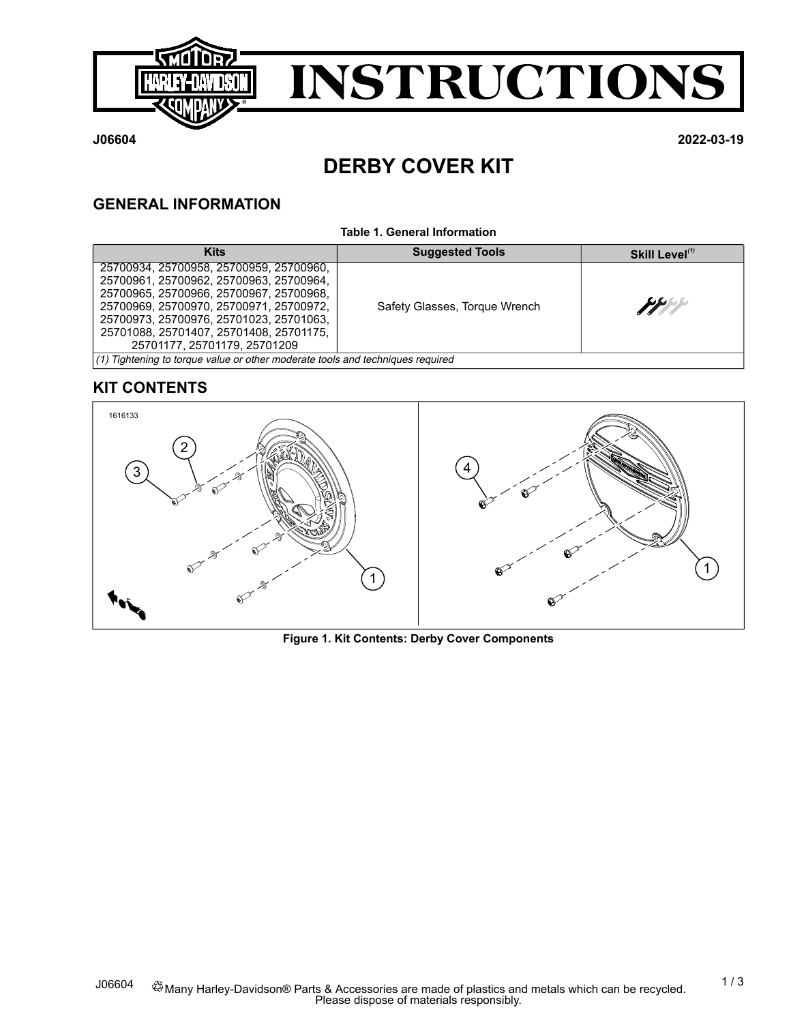



**J06604 2022-03-19**

# **DERBY COVER KIT**

# **GENERAL INFORMATION**

#### **Table 1. General Information**

| <b>Kits</b>                                                                                                      | <b>Suggested Tools</b>        | Skill Level <sup>(1)</sup> |  |  |  |  |
|------------------------------------------------------------------------------------------------------------------|-------------------------------|----------------------------|--|--|--|--|
| 25700934, 25700958, 25700959, 25700960,<br>25700961, 25700962, 25700963, 25700964,                               |                               |                            |  |  |  |  |
| 25700965, 25700966, 25700967, 25700968,<br>25700969, 25700970, 25700971, 25700972,                               | Safety Glasses, Torque Wrench | PPI                        |  |  |  |  |
| 25700973, 25700976, 25701023, 25701063,<br>25701088, 25701407, 25701408, 25701175,                               |                               |                            |  |  |  |  |
| 25701177, 25701179, 25701209<br>$(1)$ Tightening to torque value or other moderate tools and techniques required |                               |                            |  |  |  |  |

# <span id="page-0-0"></span>**KIT CONTENTS**



**Figure 1. Kit Contents: Derby Cover Components**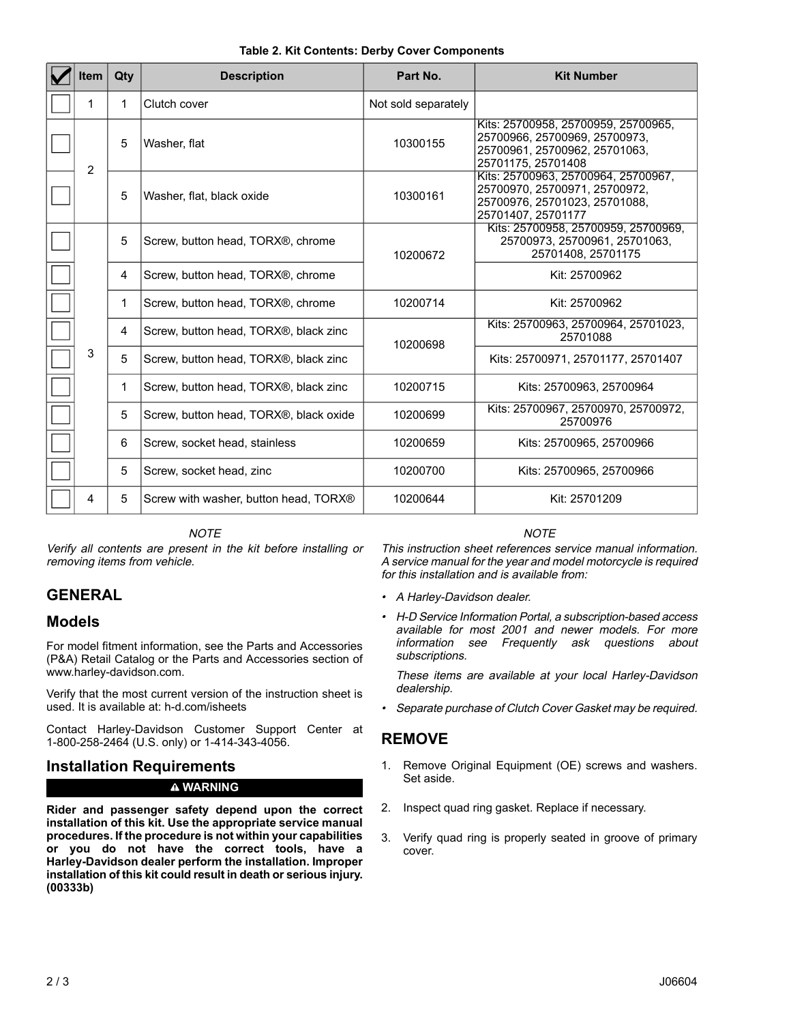| ltem | Qty                                        | <b>Description</b>                     | Part No.            | <b>Kit Number</b>                                                                                                           |
|------|--------------------------------------------|----------------------------------------|---------------------|-----------------------------------------------------------------------------------------------------------------------------|
| 1    | 1                                          | Clutch cover                           | Not sold separately |                                                                                                                             |
| 2    | 5                                          | Washer, flat                           | 10300155            | Kits: 25700958, 25700959, 25700965,<br>25700966, 25700969, 25700973,<br>25700961, 25700962, 25701063,<br>25701175, 25701408 |
|      | 5                                          | Washer, flat, black oxide              | 10300161            | Kits: 25700963. 25700964. 25700967.<br>25700970, 25700971, 25700972,<br>25700976, 25701023, 25701088,<br>25701407, 25701177 |
|      | 5                                          | Screw, button head, TORX®, chrome      | 10200672            | Kits: 25700958, 25700959, 25700969,<br>25700973, 25700961, 25701063,<br>25701408.25701175                                   |
| 4    |                                            | Screw, button head, TORX®, chrome      |                     | Kit: 25700962                                                                                                               |
|      | 1                                          | Screw, button head, TORX®, chrome      | 10200714            | Kit: 25700962                                                                                                               |
|      | 4                                          | Screw, button head, TORX®, black zinc  | 10200698            | Kits: 25700963, 25700964, 25701023,<br>25701088                                                                             |
| 3    | 5<br>Screw, button head, TORX®, black zinc |                                        |                     | Kits: 25700971, 25701177, 25701407                                                                                          |
|      | 1                                          | Screw, button head, TORX®, black zinc  | 10200715            | Kits: 25700963, 25700964                                                                                                    |
|      | 5                                          | Screw, button head, TORX®, black oxide | 10200699            | Kits: 25700967, 25700970, 25700972,<br>25700976                                                                             |
|      | 6                                          | Screw, socket head, stainless          | 10200659            | Kits: 25700965, 25700966                                                                                                    |
|      | 5                                          | Screw, socket head, zinc               | 10200700            | Kits: 25700965, 25700966                                                                                                    |
| 4    | 5                                          | Screw with washer, button head, TORX®  | 10200644            | Kit: 25701209                                                                                                               |

### **Table 2. Kit Contents: Derby Cover Components**

### **NOTE**

Verify all contents are present in the kit before installing or removing items from vehicle.

# **GENERAL**

## **Models**

For model fitment information, see the Parts and Accessories (P&A) Retail Catalog or the Parts and Accessories section of [www.harley-davidson.com.](http://www.harley-davidson.com)

Verify that the most current version of the instruction sheet is used. It is available at: [h-d.com/isheets](https://www.harley-davidson.com/isheets)

Contact Harley-Davidson Customer Support Center at 1-800-258-2464 (U.S. only) or 1-414-343-4056.

## **Installation Requirements**

### **WARNING**

**Rider and passenger safety depend upon the correct installation of this kit. Use the appropriate service manual procedures. If the procedure is not within your capabilities or you do not have the correct tools, have a Harley-Davidson dealer perform the installation. Improper installation of this kit could result in death or serious injury. (00333b)**

#### **NOTE**

This instruction sheet references service manual information. A service manual for the year and model motorcycle is required for this installation and is available from:

- A Harley-Davidson dealer.
- H-D Service Information Portal, <sup>a</sup> subscription-based access available for most 2001 and newer models. For more information see [Frequently](https://serviceinfo.harley-davidson.com/sip/service/document/index?reference=SUBSUPPORT_FAQ) ask questions about [subscriptions](https://serviceinfo.harley-davidson.com/sip/service/document/index?reference=SUBSUPPORT_FAQ).

These items are available at your local Harley-Davidson dealership.

•Separate purchase of Clutch Cover Gasket may be required.

## **REMOVE**

- 1. Remove Original Equipment (OE) screws and washers. Set aside.
- 2. Inspect quad ring gasket. Replace if necessary.
- 3. Verify quad ring is properly seated in groove of primary cover.